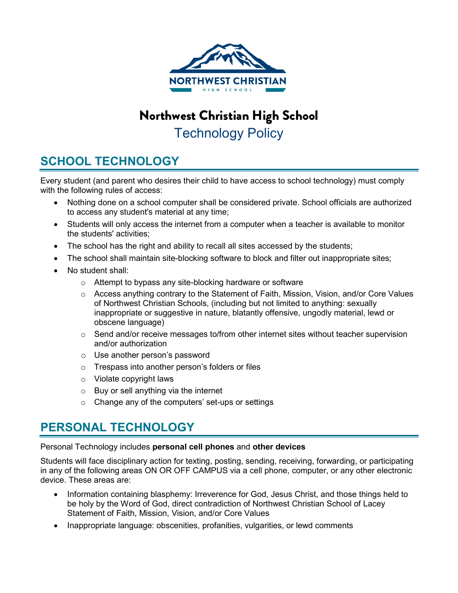

# Northwest Christian High School Technology Policy

## **SCHOOL TECHNOLOGY**

Every student (and parent who desires their child to have access to school technology) must comply with the following rules of access:

- Nothing done on a school computer shall be considered private. School officials are authorized to access any student's material at any time;
- Students will only access the internet from a computer when a teacher is available to monitor the students' activities;
- The school has the right and ability to recall all sites accessed by the students;
- The school shall maintain site-blocking software to block and filter out inappropriate sites;
- No student shall:
	- o Attempt to bypass any site-blocking hardware or software
	- $\circ$  Access anything contrary to the Statement of Faith, Mission, Vision, and/or Core Values of Northwest Christian Schools, (including but not limited to anything: sexually inappropriate or suggestive in nature, blatantly offensive, ungodly material, lewd or obscene language)
	- $\circ$  Send and/or receive messages to/from other internet sites without teacher supervision and/or authorization
	- o Use another person's password
	- o Trespass into another person's folders or files
	- o Violate copyright laws
	- $\circ$  Buy or sell anything via the internet
	- o Change any of the computers' set-ups or settings

## **PERSONAL TECHNOLOGY**

Personal Technology includes **personal cell phones** and **other devices**

Students will face disciplinary action for texting, posting, sending, receiving, forwarding, or participating in any of the following areas ON OR OFF CAMPUS via a cell phone, computer, or any other electronic device. These areas are:

- Information containing blasphemy: Irreverence for God, Jesus Christ, and those things held to be holy by the Word of God, direct contradiction of Northwest Christian School of Lacey Statement of Faith, Mission, Vision, and/or Core Values
- Inappropriate language: obscenities, profanities, vulgarities, or lewd comments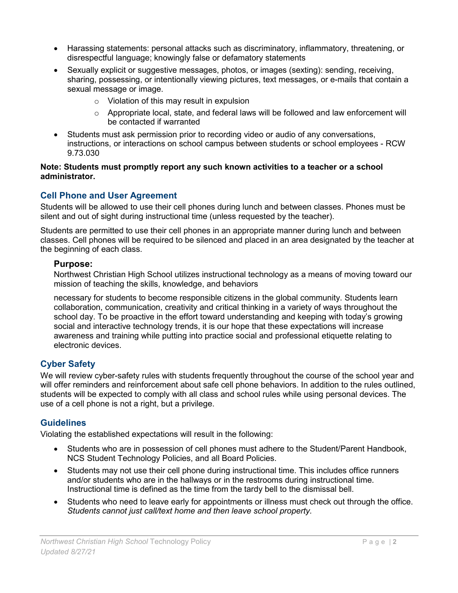- Harassing statements: personal attacks such as discriminatory, inflammatory, threatening, or disrespectful language; knowingly false or defamatory statements
- Sexually explicit or suggestive messages, photos, or images (sexting): sending, receiving, sharing, possessing, or intentionally viewing pictures, text messages, or e-mails that contain a sexual message or image.
	- o Violation of this may result in expulsion
	- $\circ$  Appropriate local, state, and federal laws will be followed and law enforcement will be contacted if warranted
- Students must ask permission prior to recording video or audio of any conversations, instructions, or interactions on school campus between students or school employees - RCW 9.73.030

### **Note: Students must promptly report any such known activities to a teacher or a school administrator.**

## **Cell Phone and User Agreement**

Students will be allowed to use their cell phones during lunch and between classes. Phones must be silent and out of sight during instructional time (unless requested by the teacher).

Students are permitted to use their cell phones in an appropriate manner during lunch and between classes. Cell phones will be required to be silenced and placed in an area designated by the teacher at the beginning of each class.

## **Purpose:**

Northwest Christian High School utilizes instructional technology as a means of moving toward our mission of teaching the skills, knowledge, and behaviors

necessary for students to become responsible citizens in the global community. Students learn collaboration, communication, creativity and critical thinking in a variety of ways throughout the school day. To be proactive in the effort toward understanding and keeping with today's growing social and interactive technology trends, it is our hope that these expectations will increase awareness and training while putting into practice social and professional etiquette relating to electronic devices.

## **Cyber Safety**

We will review cyber-safety rules with students frequently throughout the course of the school year and will offer reminders and reinforcement about safe cell phone behaviors. In addition to the rules outlined, students will be expected to comply with all class and school rules while using personal devices. The use of a cell phone is not a right, but a privilege.

## **Guidelines**

Violating the established expectations will result in the following:

- Students who are in possession of cell phones must adhere to the Student/Parent Handbook, NCS Student Technology Policies, and all Board Policies.
- Students may not use their cell phone during instructional time. This includes office runners and/or students who are in the hallways or in the restrooms during instructional time. Instructional time is defined as the time from the tardy bell to the dismissal bell.
- Students who need to leave early for appointments or illness must check out through the office. *Students cannot just call/text home and then leave school property.*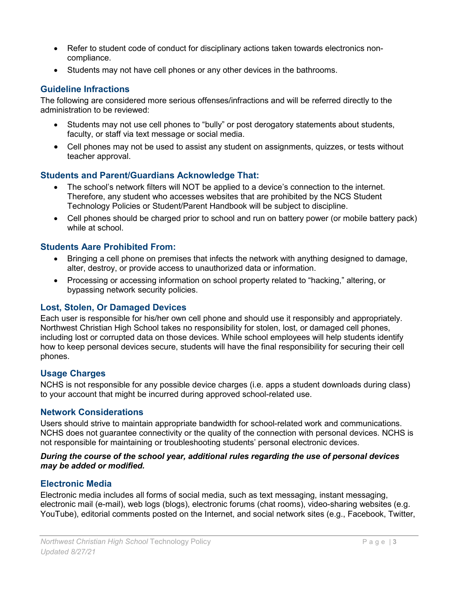- Refer to student code of conduct for disciplinary actions taken towards electronics noncompliance.
- Students may not have cell phones or any other devices in the bathrooms.

## **Guideline Infractions**

The following are considered more serious offenses/infractions and will be referred directly to the administration to be reviewed:

- Students may not use cell phones to "bully" or post derogatory statements about students, faculty, or staff via text message or social media.
- Cell phones may not be used to assist any student on assignments, quizzes, or tests without teacher approval.

## **Students and Parent/Guardians Acknowledge That:**

- The school's network filters will NOT be applied to a device's connection to the internet. Therefore, any student who accesses websites that are prohibited by the NCS Student Technology Policies or Student/Parent Handbook will be subject to discipline.
- Cell phones should be charged prior to school and run on battery power (or mobile battery pack) while at school.

## **Students Aare Prohibited From:**

- Bringing a cell phone on premises that infects the network with anything designed to damage, alter, destroy, or provide access to unauthorized data or information.
- Processing or accessing information on school property related to "hacking," altering, or bypassing network security policies.

### **Lost, Stolen, Or Damaged Devices**

Each user is responsible for his/her own cell phone and should use it responsibly and appropriately. Northwest Christian High School takes no responsibility for stolen, lost, or damaged cell phones, including lost or corrupted data on those devices. While school employees will help students identify how to keep personal devices secure, students will have the final responsibility for securing their cell phones.

## **Usage Charges**

NCHS is not responsible for any possible device charges (i.e. apps a student downloads during class) to your account that might be incurred during approved school-related use.

### **Network Considerations**

Users should strive to maintain appropriate bandwidth for school-related work and communications. NCHS does not guarantee connectivity or the quality of the connection with personal devices. NCHS is not responsible for maintaining or troubleshooting students' personal electronic devices.

#### *During the course of the school year, additional rules regarding the use of personal devices may be added or modified.*

## **Electronic Media**

Electronic media includes all forms of social media, such as text messaging, instant messaging, electronic mail (e-mail), web logs (blogs), electronic forums (chat rooms), video-sharing websites (e.g. YouTube), editorial comments posted on the Internet, and social network sites (e.g., Facebook, Twitter,